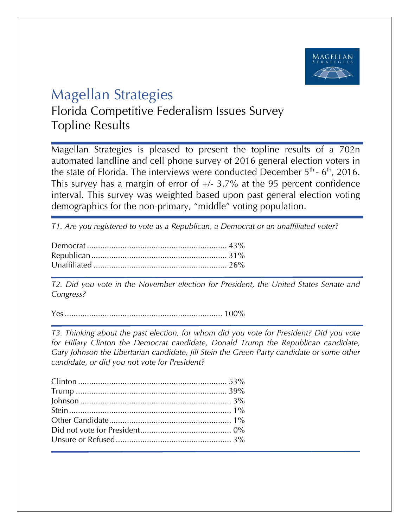

## Magellan Strategies

Florida Competitive Federalism Issues Survey Topline Results

Magellan Strategies is pleased to present the topline results of a 702n automated landline and cell phone survey of 2016 general election voters in the state of Florida. The interviews were conducted December  $5<sup>th</sup>$  -  $6<sup>th</sup>$ , 2016. This survey has a margin of error of  $+/- 3.7\%$  at the 95 percent confidence interval. This survey was weighted based upon past general election voting demographics for the non-primary, "middle" voting population.

*T1. Are you registered to vote as a Republican, a Democrat or an unaffiliated voter?*

*T2. Did you vote in the November election for President, the United States Senate and Congress?* 

Yes....................................................................... 100%

*T3. Thinking about the past election, for whom did you vote for President? Did you vote for Hillary Clinton the Democrat candidate, Donald Trump the Republican candidate, Gary Johnson the Libertarian candidate, Jill Stein the Green Party candidate or some other candidate, or did you not vote for President?*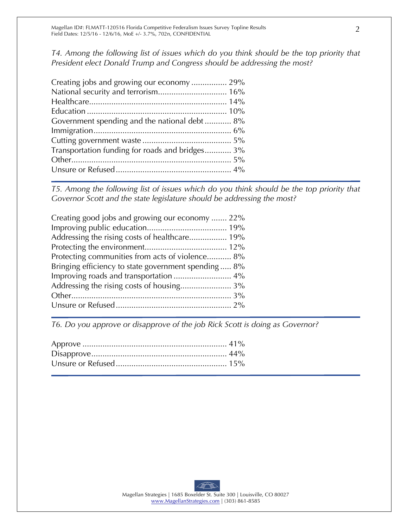*T4. Among the following list of issues which do you think should be the top priority that President elect Donald Trump and Congress should be addressing the most?*

| Creating jobs and growing our economy  29%      |  |
|-------------------------------------------------|--|
|                                                 |  |
|                                                 |  |
|                                                 |  |
| Government spending and the national debt 8%    |  |
|                                                 |  |
|                                                 |  |
| Transportation funding for roads and bridges 3% |  |
|                                                 |  |
|                                                 |  |
|                                                 |  |

*T5. Among the following list of issues which do you think should be the top priority that Governor Scott and the state legislature should be addressing the most?* 

| Creating good jobs and growing our economy  22%     |
|-----------------------------------------------------|
|                                                     |
| Addressing the rising costs of healthcare 19%       |
|                                                     |
| Protecting communities from acts of violence 8%     |
| Bringing efficiency to state government spending 8% |
|                                                     |
|                                                     |
|                                                     |
|                                                     |

*T6. Do you approve or disapprove of the job Rick Scott is doing as Governor?*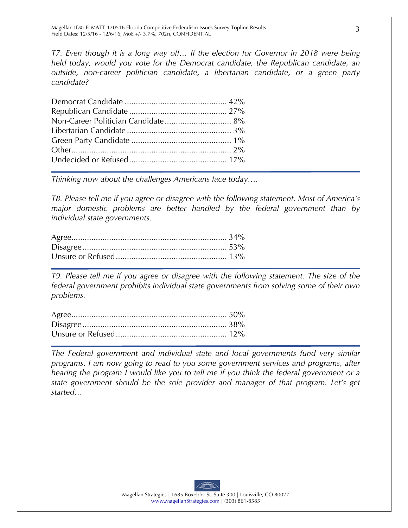*T7. Even though it is a long way off… If the election for Governor in 2018 were being held today, would you vote for the Democrat candidate, the Republican candidate, an outside, non-career politician candidate, a libertarian candidate, or a green party candidate?*

*Thinking now about the challenges Americans face today….*

*T8. Please tell me if you agree or disagree with the following statement. Most of America's major domestic problems are better handled by the federal government than by individual state governments.*

*T9. Please tell me if you agree or disagree with the following statement. The size of the federal government prohibits individual state governments from solving some of their own problems.*

*The Federal government and individual state and local governments fund very similar programs. I am now going to read to you some government services and programs, after hearing the program I would like you to tell me if you think the federal government or a state government should be the sole provider and manager of that program. Let's get started…*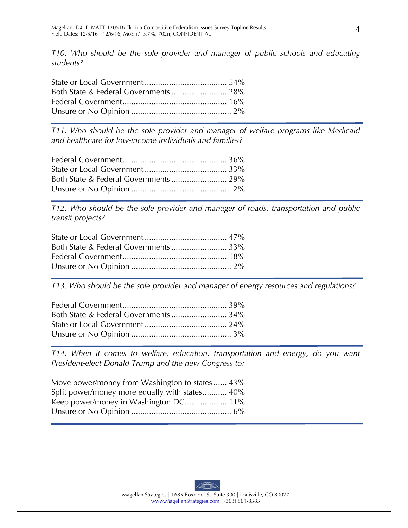*T10. Who should be the sole provider and manager of public schools and educating students?*

*T11. Who should be the sole provider and manager of welfare programs like Medicaid and healthcare for low-income individuals and families?*

*T12. Who should be the sole provider and manager of roads, transportation and public transit projects?*

*T13. Who should be the sole provider and manager of energy resources and regulations?*

*T14. When it comes to welfare, education, transportation and energy, do you want President-elect Donald Trump and the new Congress to:*

| Move power/money from Washington to states 43% |
|------------------------------------------------|
| Split power/money more equally with states 40% |
| Keep power/money in Washington DC 11%          |
|                                                |
|                                                |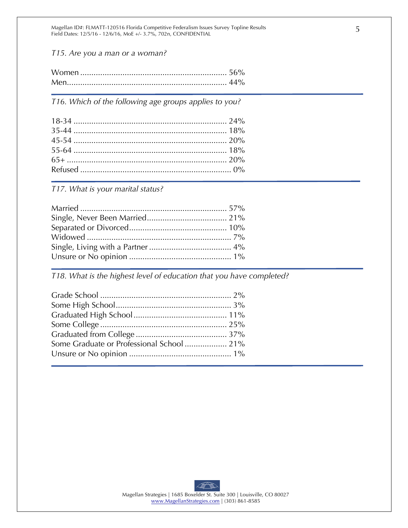Magellan ID#: FLMATT-120516 Florida Competitive Federalism Issues Survey Topline Results Field Dates: 12/5/16 - 12/6/16, MoE +/- 3.7%, 702n, CONFIDENTIAL

*T15. Are you a man or a woman?*

*T16. Which of the following age groups applies to you?* 

*T17. What is your marital status?* 

*T18. What is the highest level of education that you have completed?*

| Some Graduate or Professional School  21% |  |
|-------------------------------------------|--|
|                                           |  |
|                                           |  |